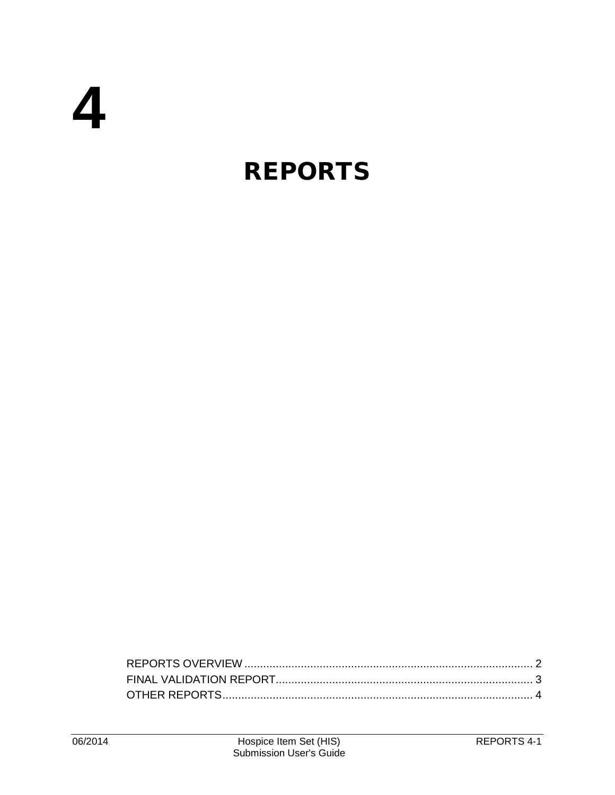# **REPORTS**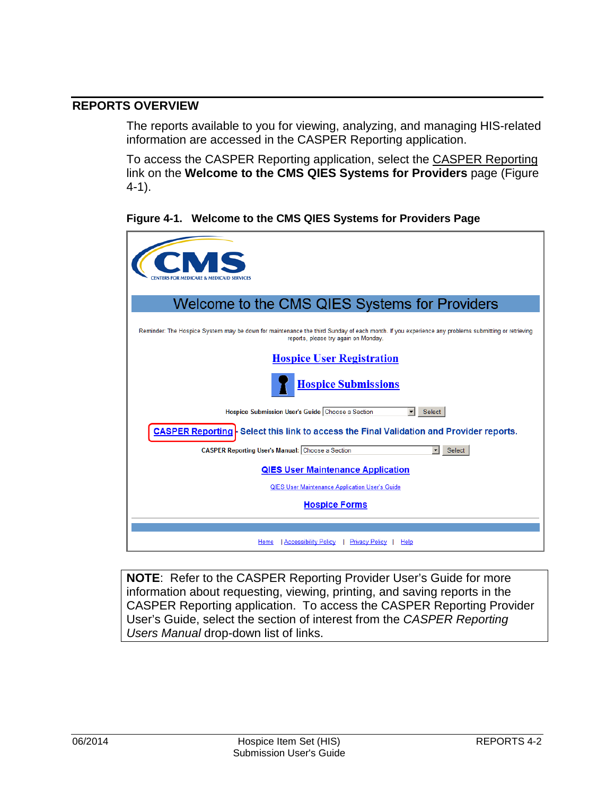# <span id="page-1-0"></span>**REPORTS OVERVIEW**

The reports available to you for viewing, analyzing, and managing HIS-related information are accessed in the CASPER Reporting application.

To access the CASPER Reporting application, select the CASPER Reporting link on the **Welcome to the CMS QIES Systems for Providers** page (Figure 4-1).

**Figure 4-1. Welcome to the CMS QIES Systems for Providers Page**

| ENTERS FOR MEDICARE & MEDICAID SERVICES                                                                                                                                                  |
|------------------------------------------------------------------------------------------------------------------------------------------------------------------------------------------|
| Welcome to the CMS QIES Systems for Providers                                                                                                                                            |
| Reminder: The Hospice System may be down for maintenance the third Sunday of each month. If you experience any problems submitting or retrieving<br>reports, please try again on Monday. |
| <b>Hospice User Registration</b>                                                                                                                                                         |
| <b>Hospice Submissions</b>                                                                                                                                                               |
| Hospice Submission User's Guide Choose a Section<br>$\blacktriangledown$<br>Select                                                                                                       |
| <b>CASPER Reporting - Select this link to access the Final Validation and Provider reports.</b>                                                                                          |
| <b>CASPER Reporting User's Manual: Choose a Section</b><br>Select                                                                                                                        |
| <b>QIES User Maintenance Application</b>                                                                                                                                                 |
| QIES User Maintenance Application User's Guide                                                                                                                                           |
| <b>Hospice Forms</b>                                                                                                                                                                     |
|                                                                                                                                                                                          |
| Accessibility Policy<br>Privacy Policy<br>Home<br>Help                                                                                                                                   |

**NOTE**: Refer to the CASPER Reporting Provider User's Guide for more information about requesting, viewing, printing, and saving reports in the CASPER Reporting application. To access the CASPER Reporting Provider User's Guide, select the section of interest from the *CASPER Reporting Users Manual* drop-down list of links.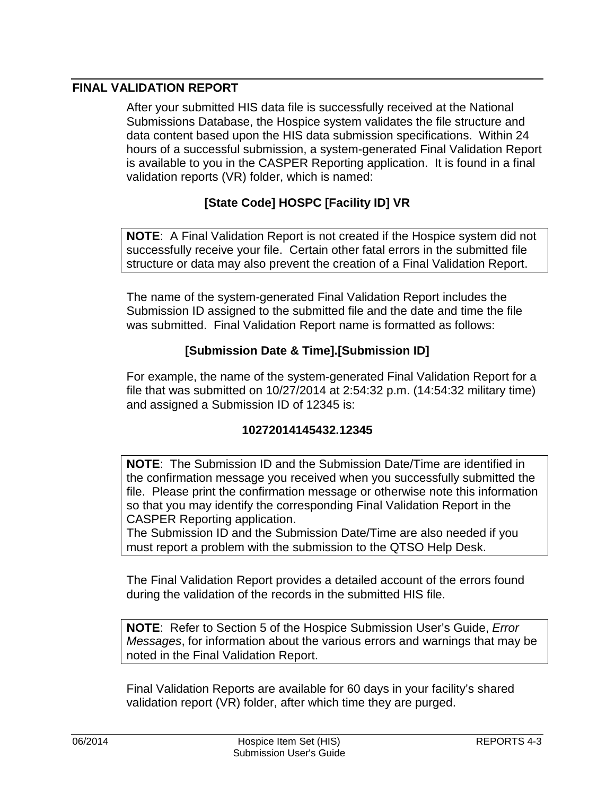# <span id="page-2-0"></span>**FINAL VALIDATION REPORT**

After your submitted HIS data file is successfully received at the National Submissions Database, the Hospice system validates the file structure and data content based upon the HIS data submission specifications. Within 24 hours of a successful submission, a system-generated Final Validation Report is available to you in the CASPER Reporting application. It is found in a final validation reports (VR) folder, which is named:

# **[State Code] HOSPC [Facility ID] VR**

**NOTE**: A Final Validation Report is not created if the Hospice system did not successfully receive your file. Certain other fatal errors in the submitted file structure or data may also prevent the creation of a Final Validation Report.

The name of the system-generated Final Validation Report includes the Submission ID assigned to the submitted file and the date and time the file was submitted. Final Validation Report name is formatted as follows:

### **[Submission Date & Time].[Submission ID]**

For example, the name of the system-generated Final Validation Report for a file that was submitted on 10/27/2014 at 2:54:32 p.m. (14:54:32 military time) and assigned a Submission ID of 12345 is:

#### **10272014145432.12345**

**NOTE**: The Submission ID and the Submission Date/Time are identified in the confirmation message you received when you successfully submitted the file. Please print the confirmation message or otherwise note this information so that you may identify the corresponding Final Validation Report in the CASPER Reporting application.

The Submission ID and the Submission Date/Time are also needed if you must report a problem with the submission to the QTSO Help Desk.

The Final Validation Report provides a detailed account of the errors found during the validation of the records in the submitted HIS file.

**NOTE**: Refer to Section 5 of the Hospice Submission User's Guide, *Error Messages*, for information about the various errors and warnings that may be noted in the Final Validation Report.

Final Validation Reports are available for 60 days in your facility's shared validation report (VR) folder, after which time they are purged.